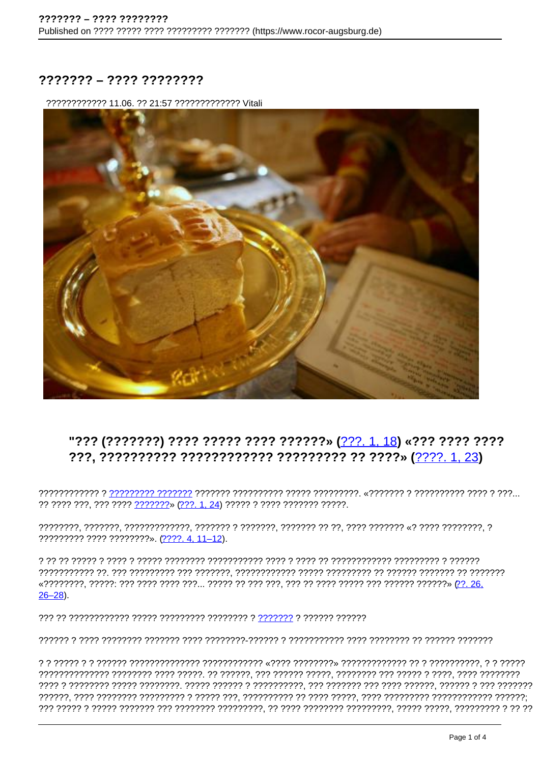## $??????2 - ??????????$

???????????? 11.06. ?? 21:57 ???????????? Vitali



## "??? (???????) ???? ????? ???? ???????» (???. 1, 18) «??? ???? ????

?? ???? ???, ??? ???? ???????? 0??. 1, 24) ????? ? ???? ??????? ?????.

????????? ???? ?????????» (????. 4, 11-12).

 $26 - 28$ ).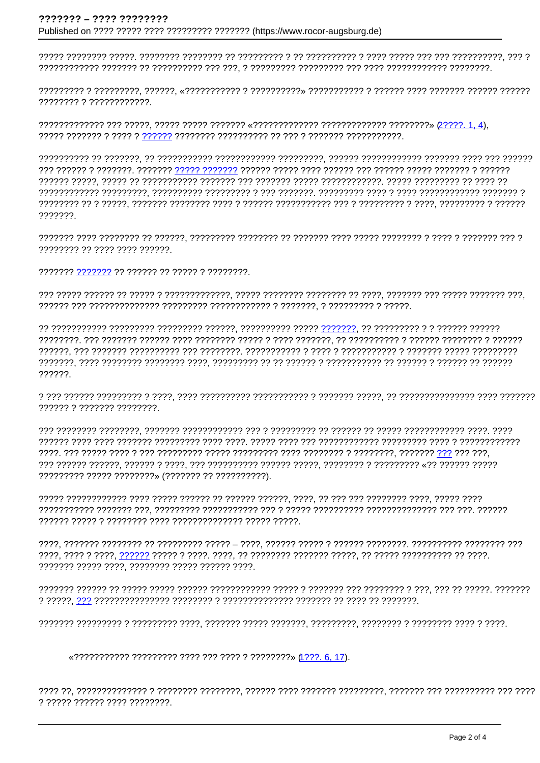???????? ? ????????????.

???????

???????? ?? ???? ???? ??????.

??????

?????? ? ??????? ????????.

, נכללללי לללל ללללל ללללל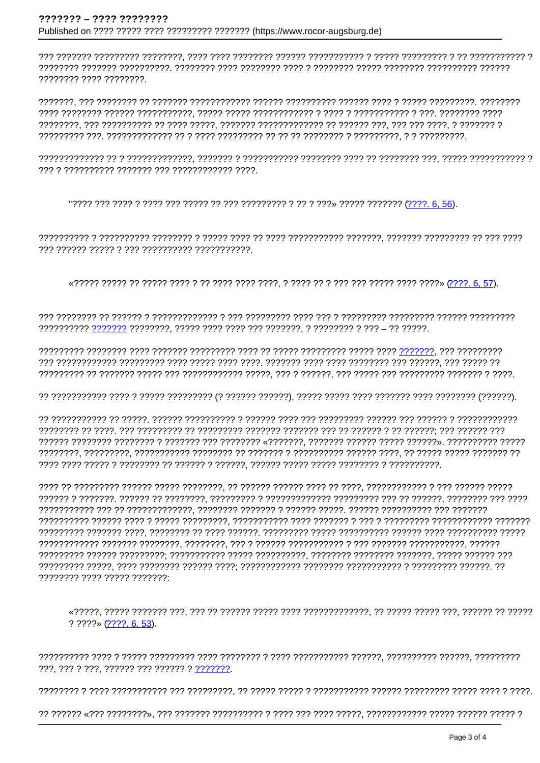רררר ררר רר הרכבר ברכבר הרכבר בר ברכבר ברכבר ברכבר ברכב רבר רב ברכב רבר ברכבר ברכבר ברכבר ברכבר ב-ברכבר ברכבר 

???????? ???? ????? ???????

 $?$  ????» (????, 6, 53).